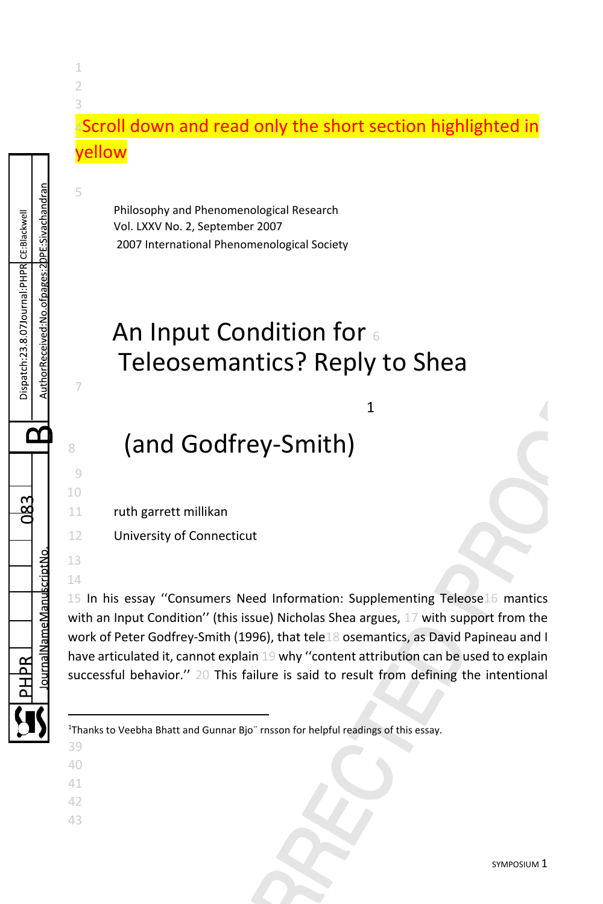### 4Scroll down and read only the short section highlighted in yellow

Philosophy and Phenomenological Research Vol. LXXV No. 2, September 2007 2007 International Phenomenological Society

# An Input Condition for  $\epsilon$ Teleosemantics? Reply to Shea

[1](#page-0-0)

## <sup>8</sup> (and Godfrey-Smith)

11 ruth garrett millikan

12 University of Connecticut

15 In his essay ''Consumers Need Information: Supplementing Teleose16 mantics with an Input Condition'' (this issue) Nicholas Shea argues, 17 with support from the work of Peter Godfrey-Smith (1996), that tele18 osemantics, as David Papineau and I have articulated it, cannot explain 19 why ''content attribution can be used to explain successful behavior.'' 20 This failure is said to result from defining the intentional

<span id="page-0-0"></span><sup>1</sup>Thanks to Veebha Bhatt and Gunnar Bjo" rnsson for helpful readings of this essay.

39

1 2 3

5

7

AuthorReceived:No.ofpages:2DPE:Sivachandran Dispatch:23.8.07Journal:PHPR CE:Blackwell

Œ

9 10

13 14

ournal Name Manuscript No

- 40
- 41
- 42
- 43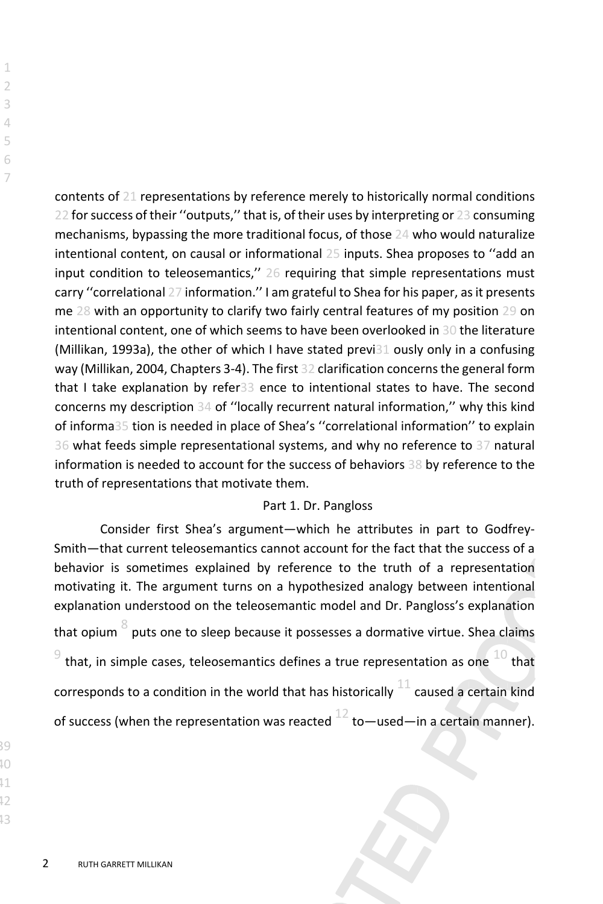contents of 21 representations by reference merely to historically normal conditions 22 for success of their "outputs," that is, of their uses by interpreting or 23 consuming mechanisms, bypassing the more traditional focus, of those 24 who would naturalize intentional content, on causal or informational 25 inputs. Shea proposes to ''add an input condition to teleosemantics,'' 26 requiring that simple representations must carry ''correlational 27 information.'' I am grateful to Shea for his paper, as it presents me 28 with an opportunity to clarify two fairly central features of my position 29 on intentional content, one of which seems to have been overlooked in 30 the literature (Millikan, 1993a), the other of which I have stated previ31 ously only in a confusing way (Millikan, 2004, Chapters 3-4). The first 32 clarification concerns the general form that I take explanation by refer33 ence to intentional states to have. The second concerns my description 34 of ''locally recurrent natural information,'' why this kind of informa35 tion is needed in place of Shea's ''correlational information'' to explain 36 what feeds simple representational systems, and why no reference to 37 natural information is needed to account for the success of behaviors 38 by reference to the truth of representations that motivate them.

#### Part 1. Dr. Pangloss

Consider first Shea's argument—which he attributes in part to Godfrey-Smith—that current teleosemantics cannot account for the fact that the success of a behavior is sometimes explained by reference to the truth of a representation motivating it. The argument turns on a hypothesized analogy between intentional explanation understood on the teleosemantic model and Dr. Pangloss's explanation that opium  $8$  puts one to sleep because it possesses a dormative virtue. Shea claims  $^{9}$  that, in simple cases, teleosemantics defines a true representation as one  $^{10}$  that corresponds to a condition in the world that has historically  $^{11}$  caused a certain kind of success (when the representation was reacted  $^{12}$  to—used—in a certain manner).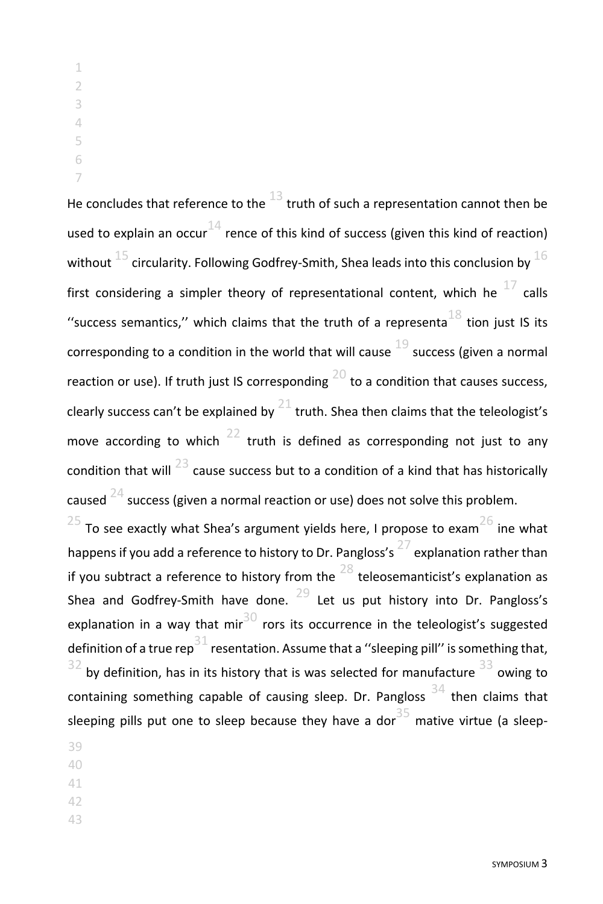He concludes that reference to the  $^{13}$  truth of such a representation cannot then be used to explain an occur<sup>14</sup> rence of this kind of success (given this kind of reaction) without  $^{15}$  circularity. Following Godfrey-Smith, Shea leads into this conclusion by  $^{16}$ first considering a simpler theory of representational content, which he  $^{17}$  calls "success semantics," which claims that the truth of a representa  $^{18}$  tion just IS its corresponding to a condition in the world that will cause success (given a normal reaction or use). If truth just IS corresponding  $^{20}$  to a condition that causes success, clearly success can't be explained by truth. Shea then claims that the teleologist's move according to which truth is defined as corresponding not just to any condition that will  $^{23}$  cause success but to a condition of a kind that has historically caused  $^{24}$  success (given a normal reaction or use) does not solve this problem.

 To see exactly what Shea's argument yields here, I propose to exam $^{26}$  ine what happens if you add a reference to history to Dr. Pangloss's  $^{27}$  explanation rather than if you subtract a reference to history from the  $^{28}$  teleosemanticist's explanation as Shea and Godfrey-Smith have done. Let us put history into Dr. Pangloss's explanation in a way that mington rors its occurrence in the teleologist's suggested definition of a true rep<sup>31</sup> resentation. Assume that a "sleeping pill" is something that, by definition, has in its history that is was selected for manufacture owing to containing something capable of causing sleep. Dr. Pangloss then claims that sleeping pills put one to sleep because they have a dor mative virtue (a sleep-

- 
- 
- 
-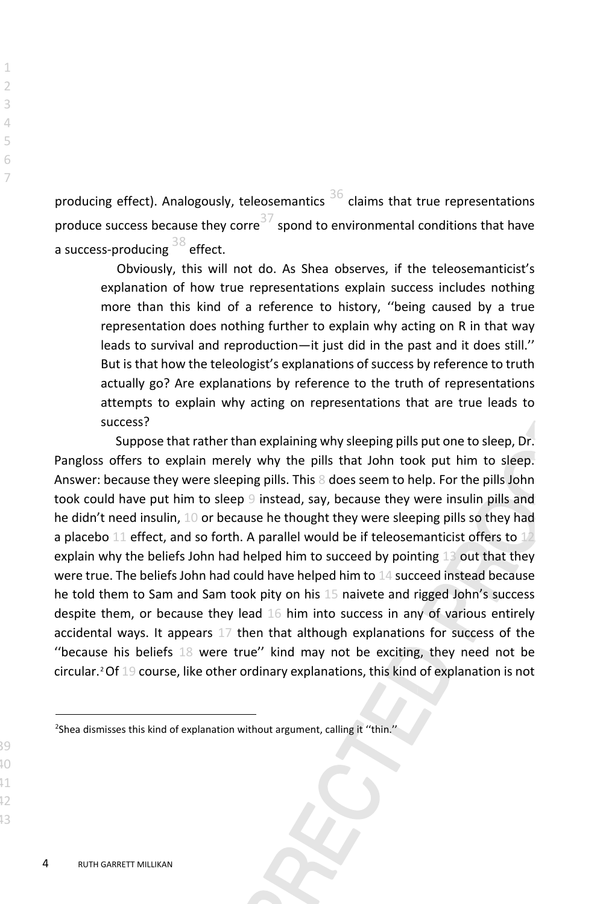producing effect). Analogously, teleosemantics  $36$  claims that true representations produce success because they corre<sup>37</sup> spond to environmental conditions that have a success-producing 38 effect.

Obviously, this will not do. As Shea observes, if the teleosemanticist's explanation of how true representations explain success includes nothing more than this kind of a reference to history, ''being caused by a true representation does nothing further to explain why acting on R in that way leads to survival and reproduction—it just did in the past and it does still.'' But is that how the teleologist's explanations of success by reference to truth actually go? Are explanations by reference to the truth of representations attempts to explain why acting on representations that are true leads to success?

Suppose that rather than explaining why sleeping pills put one to sleep, Dr. Pangloss offers to explain merely why the pills that John took put him to sleep. Answer: because they were sleeping pills. This 8 does seem to help. For the pills John took could have put him to sleep 9 instead, say, because they were insulin pills and he didn't need insulin, 10 or because he thought they were sleeping pills so they had a placebo 11 effect, and so forth. A parallel would be if teleosemanticist offers to  $12$ explain why the beliefs John had helped him to succeed by pointing  $13$  out that they were true. The beliefs John had could have helped him to 14 succeed instead because he told them to Sam and Sam took pity on his 15 naivete and rigged John's success despite them, or because they lead 16 him into success in any of various entirely accidental ways. It appears 17 then that although explanations for success of the ''because his beliefs 18 were true'' kind may not be exciting, they need not be circular.[2](#page-3-0)Of 19 course, like other ordinary explanations, this kind of explanation is not

<span id="page-3-0"></span><sup>&</sup>lt;sup>2</sup>Shea dismisses this kind of explanation without argument, calling it "thin."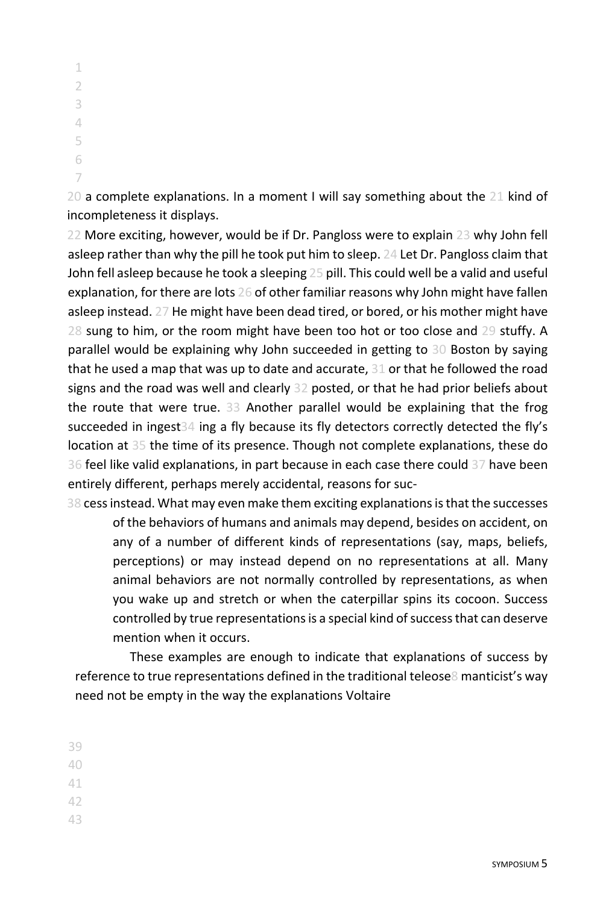20 a complete explanations. In a moment I will say something about the 21 kind of incompleteness it displays.

22 More exciting, however, would be if Dr. Pangloss were to explain 23 why John fell asleep rather than why the pill he took put him to sleep. 24 Let Dr. Pangloss claim that John fell asleep because he took a sleeping 25 pill. This could well be a valid and useful explanation, for there are lots 26 of other familiar reasons why John might have fallen asleep instead. 27 He might have been dead tired, or bored, or his mother might have 28 sung to him, or the room might have been too hot or too close and 29 stuffy. A parallel would be explaining why John succeeded in getting to 30 Boston by saying that he used a map that was up to date and accurate, 31 or that he followed the road signs and the road was well and clearly 32 posted, or that he had prior beliefs about the route that were true. 33 Another parallel would be explaining that the frog succeeded in ingest34 ing a fly because its fly detectors correctly detected the fly's location at 35 the time of its presence. Though not complete explanations, these do 36 feel like valid explanations, in part because in each case there could 37 have been entirely different, perhaps merely accidental, reasons for suc-

38 cess instead. What may even make them exciting explanations is that the successes of the behaviors of humans and animals may depend, besides on accident, on any of a number of different kinds of representations (say, maps, beliefs, perceptions) or may instead depend on no representations at all. Many animal behaviors are not normally controlled by representations, as when you wake up and stretch or when the caterpillar spins its cocoon. Success controlled by true representations is a special kind of success that can deserve mention when it occurs.

These examples are enough to indicate that explanations of success by reference to true representations defined in the traditional teleose8 manticist's way need not be empty in the way the explanations Voltaire

39

40

- 42
- 43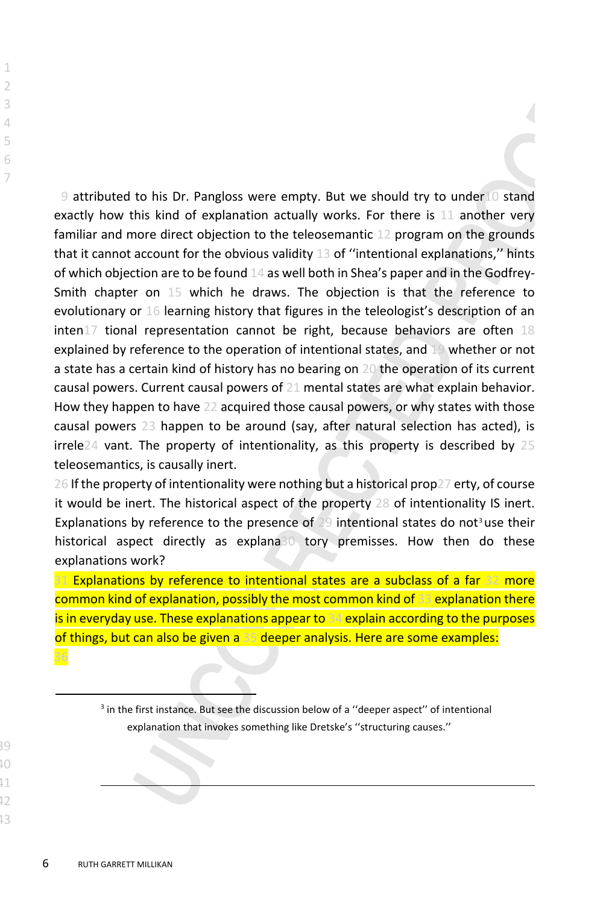9 attributed to his Dr. Pangloss were empty. But we should try to under10 stand exactly how this kind of explanation actually works. For there is 11 another very familiar and more direct objection to the teleosemantic 12 program on the grounds that it cannot account for the obvious validity 13 of "intentional explanations," hints of which objection are to be found 14 as well both in Shea's paper and in the Godfrey-Smith chapter on 15 which he draws. The objection is that the reference to evolutionary or 16 learning history that figures in the teleologist's description of an  $inten17$  tional representation cannot be right, because behaviors are often  $18$ explained by reference to the operation of intentional states, and 19 whether or not a state has a certain kind of history has no bearing on 20 the operation of its current causal powers. Current causal powers of 21 mental states are what explain behavior. How they happen to have 22 acquired those causal powers, or why states with those causal powers 23 happen to be around (say, after natural selection has acted), is irrele24 vant. The property of intentionality, as this property is described by 25 teleosemantics, is causally inert.

26 If the property of intentionality were nothing but a historical prop27 erty, of course it would be inert. The historical aspect of the property 28 of intentionality IS inert. Explanations by reference to the presence of  $29$  intentional states do not<sup>[3](#page-5-0)</sup>use their historical aspect directly as explana30 tory premisses. How then do these explanations work?

31 Explanations by reference to intentional states are a subclass of a far 32 more common kind of explanation, possibly the most common kind of 33 explanation there is in everyday use. These explanations appear to 34 explain according to the purposes of things, but can also be given a 35 deeper analysis. Here are some examples:

<span id="page-5-0"></span><sup>&</sup>lt;sup>3</sup> in the first instance. But see the discussion below of a "deeper aspect" of intentional explanation that invokes something like Dretske's ''structuring causes.''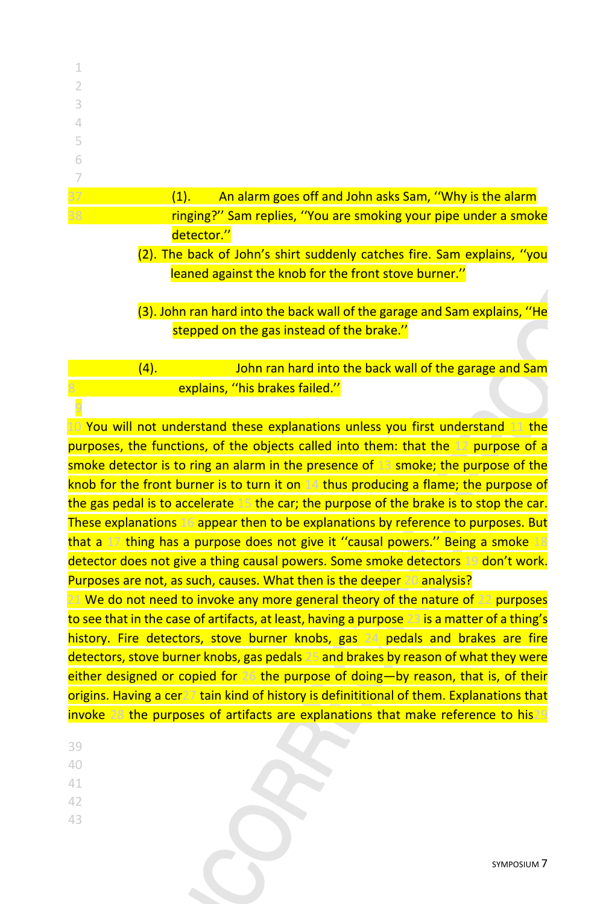| 37 | An alarm goes off and John asks Sam, "Why is the alarm<br>(1).  |
|----|-----------------------------------------------------------------|
| 38 | ringing?" Sam replies, "You are smoking your pipe under a smoke |
|    | detector."                                                      |
|    |                                                                 |

- (2). The back of John's shirt suddenly catches fire. Sam explains, ''you leaned against the knob for the front stove burner.''
- (3). John ran hard into the back wall of the garage and Sam explains, ''He stepped on the gas instead of the brake.''

### (4). John ran hard into the back wall of the garage and Sam explains, "his brakes failed."

10 You will not understand these explanations unless you first understand 11 the purposes, the functions, of the objects called into them: that the 12 purpose of a smoke detector is to ring an alarm in the presence of 13 smoke; the purpose of the knob for the front burner is to turn it on 14 thus producing a flame; the purpose of the gas pedal is to accelerate 15 the car; the purpose of the brake is to stop the car. These explanations 16 appear then to be explanations by reference to purposes. But that a 17 thing has a purpose does not give it "causal powers." Being a smoke 18 detector does not give a thing causal powers. Some smoke detectors 19 don't work. Purposes are not, as such, causes. What then is the deeper 20 analysis? 21 We do not need to invoke any more general theory of the nature of 22 purposes to see that in the case of artifacts, at least, having a purpose 23 is a matter of a thing's history. Fire detectors, stove burner knobs, gas 24 pedals and brakes are fire detectors, stove burner knobs, gas pedals 25 and brakes by reason of what they were either designed or copied for 26 the purpose of doing—by reason, that is, of their

origins. Having a cer27 tain kind of history is definititional of them. Explanations that invoke 28 the purposes of artifacts are explanations that make reference to his29

- 39
- 40
- 41
- 42
- 43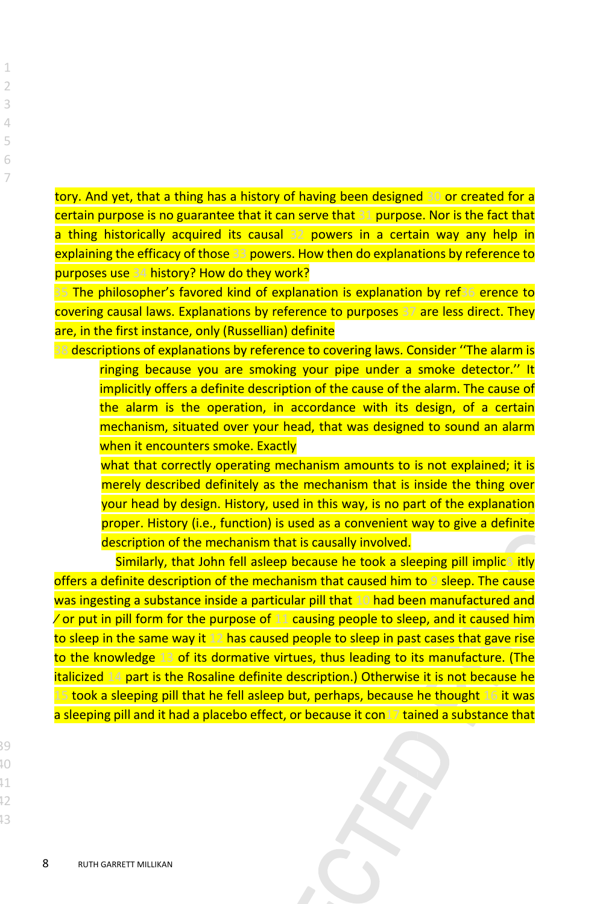tory. And yet, that a thing has a history of having been designed 30 or created for a certain purpose is no guarantee that it can serve that 31 purpose. Nor is the fact that a thing historically acquired its causal 32 powers in a certain way any help in explaining the efficacy of those 33 powers. How then do explanations by reference to purposes use 34 history? How do they work?

35 The philosopher's favored kind of explanation is explanation by ref36 erence to covering causal laws. Explanations by reference to purposes 37 are less direct. They are, in the first instance, only (Russellian) definite

38 descriptions of explanations by reference to covering laws. Consider ''The alarm is ringing because you are smoking your pipe under a smoke detector.'' It implicitly offers a definite description of the cause of the alarm. The cause of the alarm is the operation, in accordance with its design, of a certain mechanism, situated over your head, that was designed to sound an alarm when it encounters smoke. Exactly

what that correctly operating mechanism amounts to is not explained; it is merely described definitely as the mechanism that is inside the thing over your head by design. History, used in this way, is no part of the explanation proper. History (i.e., function) is used as a convenient way to give a definite description of the mechanism that is causally involved.

Similarly, that John fell asleep because he took a sleeping pill implic<sup>8</sup> itly offers a definite description of the mechanism that caused him to 9 sleep. The cause was ingesting a substance inside a particular pill that 10 had been manufactured and  $\sqrt{\overline{a}}$  or put in pill form for the purpose of 11 causing people to sleep, and it caused him to sleep in the same way it 12 has caused people to sleep in past cases that gave rise to the knowledge 13 of its dormative virtues, thus leading to its manufacture. (The italicized 14 part is the Rosaline definite description.) Otherwise it is not because he 15 took a sleeping pill that he fell asleep but, perhaps, because he thought 16 it was a sleeping pill and it had a placebo effect, or because it con17 tained a substance that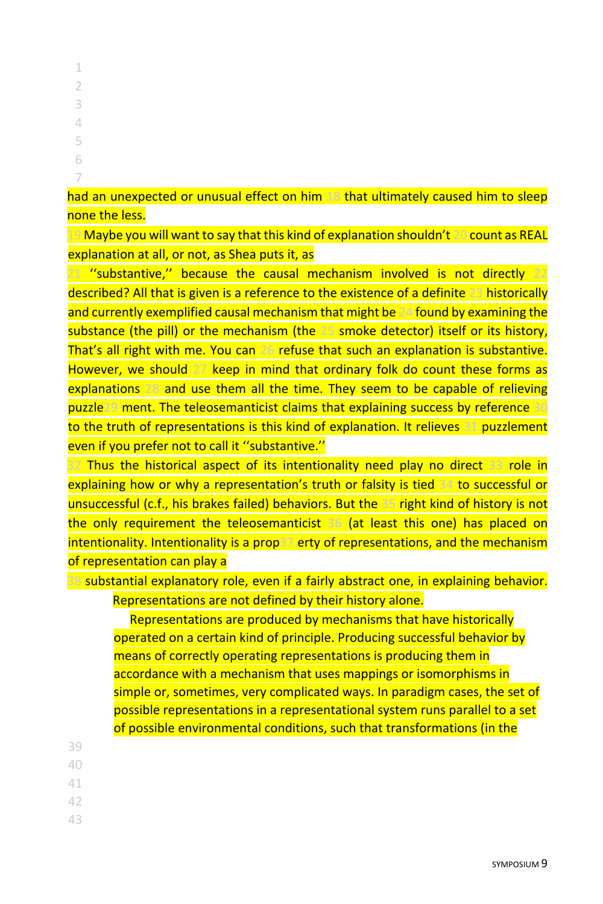had an unexpected or unusual effect on him 18 that ultimately caused him to sleep none the less.

19 Maybe you will want to say that this kind of explanation shouldn't 20 count as REAL explanation at all, or not, as Shea puts it, as

21 "substantive," because the causal mechanism involved is not directly 22 described? All that is given is a reference to the existence of a definite 23 historically and currently exemplified causal mechanism that might be 24 found by examining the substance (the pill) or the mechanism (the 25 smoke detector) itself or its history, That's all right with me. You can 26 refuse that such an explanation is substantive. However, we should 27 keep in mind that ordinary folk do count these forms as explanations 28 and use them all the time. They seem to be capable of relieving puzzle29 ment. The teleosemanticist claims that explaining success by reference 30 to the truth of representations is this kind of explanation. It relieves 31 puzzlement even if you prefer not to call it ''substantive.''

32 Thus the historical aspect of its intentionality need play no direct 33 role in explaining how or why a representation's truth or falsity is tied 34 to successful or unsuccessful (c.f., his brakes failed) behaviors. But the 35 right kind of history is not the only requirement the teleosemanticist 36 (at least this one) has placed on intentionality. Intentionality is a prop37 erty of representations, and the mechanism of representation can play a

38 substantial explanatory role, even if a fairly abstract one, in explaining behavior. Representations are not defined by their history alone.

Representations are produced by mechanisms that have historically operated on a certain kind of principle. Producing successful behavior by means of correctly operating representations is producing them in accordance with a mechanism that uses mappings or isomorphisms in simple or, sometimes, very complicated ways. In paradigm cases, the set of possible representations in a representational system runs parallel to a set of possible environmental conditions, such that transformations (in the

- 39
- 40
- 41
- 42
- 43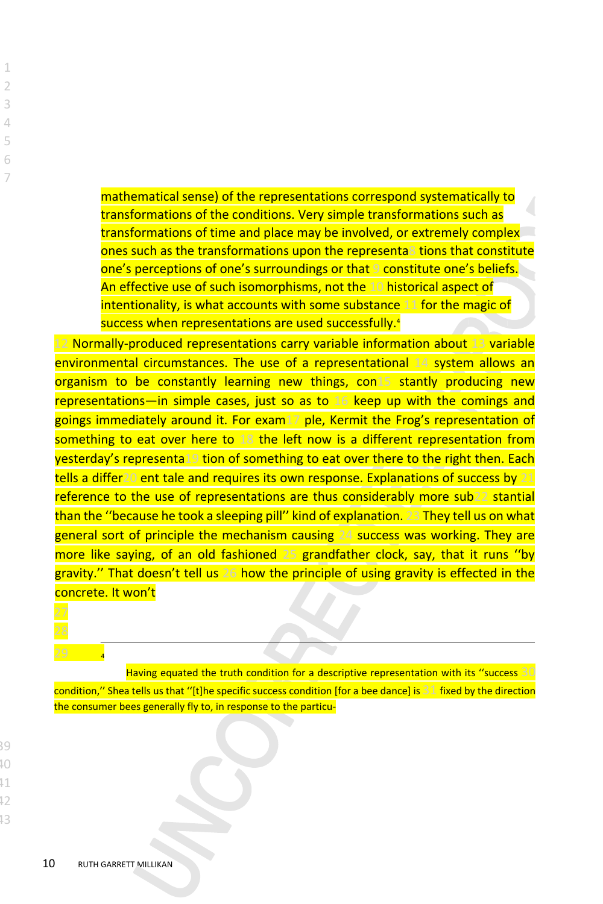mathematical sense) of the representations correspond systematically to transformations of the conditions. Very simple transformations such as transformations of time and place may be involved, or extremely complex ones such as the transformations upon the representa8 tions that constitute one's perceptions of one's surroundings or that 9 constitute one's beliefs. An effective use of such isomorphisms, not the 10 historical aspect of intentionality, is what accounts with some substance 11 for the magic of success when representations are used successfully.<sup>4</sup>

12 Normally-produced representations carry variable information about 13 variable environmental circumstances. The use of a representational 14 system allows an organism to be constantly learning new things, con15 stantly producing new representations—in simple cases, just so as to 16 keep up with the comings and goings immediately around it. For exam17 ple, Kermit the Frog's representation of something to eat over here to 18 the left now is a different representation from yesterday's representa19 tion of something to eat over there to the right then. Each tells a differ20 ent tale and requires its own response. Explanations of success by 21 reference to the use of representations are thus considerably more sub22 stantial than the ''because he took a sleeping pill'' kind of explanation. 23 They tell us on what general sort of principle the mechanism causing 24 success was working. They are more like saying, of an old fashioned 25 grandfather clock, say, that it runs ''by gravity." That doesn't tell us 26 how the principle of using gravity is effected in the concrete. It won't

29 <sup>4</sup>

Having equated the truth condition for a descriptive representation with its ''success 30 condition," Shea tells us that "[t]he specific success condition [for a bee dance] is  $31$  fixed by the direction the consumer bees generally fly to, in response to the particu-

40  $\overline{11}$ 42

 $\overline{9}$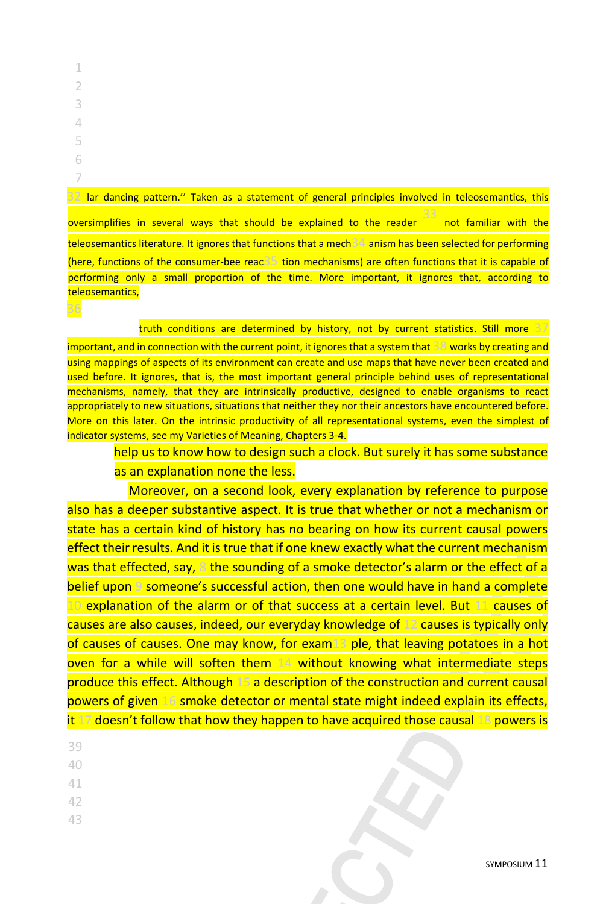32 lar dancing pattern.'' Taken as a statement of general principles involved in teleosemantics, this oversimplifies in several ways that should be explained to the reader 33 not familiar with the teleosemantics literature. It ignores that functions that a mech34 anism has been selected for performing (here, functions of the consumer-bee reac35 tion mechanisms) are often functions that it is capable of performing only a small proportion of the time. More important, it ignores that, according to teleosemantics,

truth conditions are determined by history, not by current statistics. Still more 37

important, and in connection with the current point, it ignores that a system that 38 works by creating and using mappings of aspects of its environment can create and use maps that have never been created and used before. It ignores, that is, the most important general principle behind uses of representational mechanisms, namely, that they are intrinsically productive, designed to enable organisms to react appropriately to new situations, situations that neither they nor their ancestors have encountered before. More on this later. On the intrinsic productivity of all representational systems, even the simplest of indicator systems, see my Varieties of Meaning, Chapters 3-4.

help us to know how to design such a clock. But surely it has some substance as an explanation none the less.

Moreover, on a second look, every explanation by reference to purpose also has a deeper substantive aspect. It is true that whether or not a mechanism or state has a certain kind of history has no bearing on how its current causal powers effect their results. And it is true that if one knew exactly what the current mechanism was that effected, say, 8 the sounding of a smoke detector's alarm or the effect of a belief upon 9 someone's successful action, then one would have in hand a complete 10 explanation of the alarm or of that success at a certain level. But 11 causes of causes are also causes, indeed, our everyday knowledge of 12 causes is typically only of causes of causes. One may know, for exam13 ple, that leaving potatoes in a hot oven for a while will soften them 14 without knowing what intermediate steps produce this effect. Although 15 a description of the construction and current causal powers of given 16 smoke detector or mental state might indeed explain its effects, it 17 doesn't follow that how they happen to have acquired those causal 18 powers is

- 39
- 40
- 41
- 42
- 43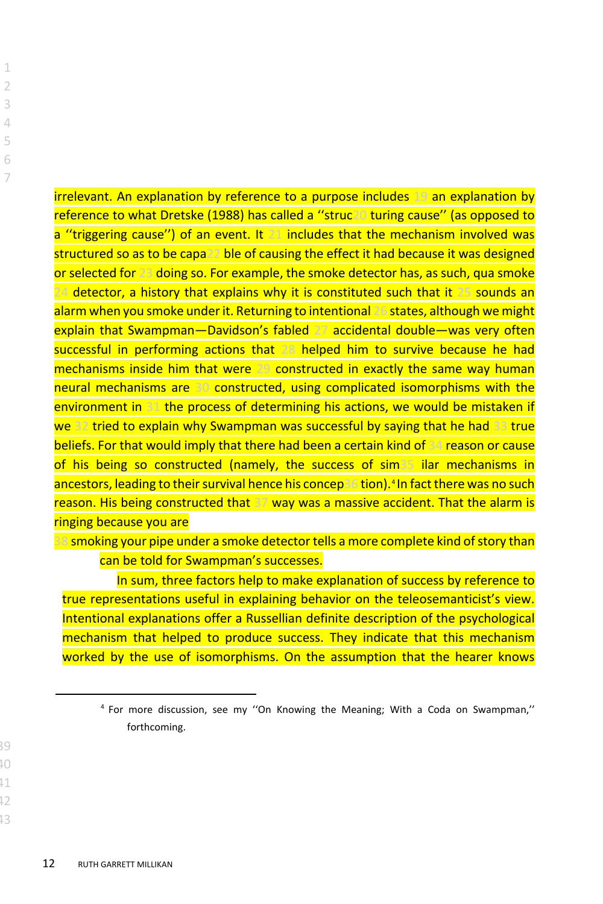irrelevant. An explanation by reference to a purpose includes 19 an explanation by reference to what Dretske (1988) has called a ''struc20 turing cause'' (as opposed to a "triggering cause") of an event. It 21 includes that the mechanism involved was structured so as to be capa22 ble of causing the effect it had because it was designed or selected for 23 doing so. For example, the smoke detector has, as such, qua smoke 24 detector, a history that explains why it is constituted such that it 25 sounds an alarm when you smoke under it. Returning to intentional 26 states, although we might explain that Swampman—Davidson's fabled 27 accidental double—was very often successful in performing actions that 28 helped him to survive because he had mechanisms inside him that were 29 constructed in exactly the same way human neural mechanisms are 30 constructed, using complicated isomorphisms with the environment in 31 the process of determining his actions, we would be mistaken if we 32 tried to explain why Swampman was successful by saying that he had 33 true beliefs. For that would imply that there had been a certain kind of 34 reason or cause of his being so constructed (namely, the success of sim35 ilar mechanisms in ancestors, leading to their survival hence his concep36 tion).[4](#page-11-0) In fact there was no such reason. His being constructed that 37 way was a massive accident. That the alarm is ringing because you are

38 smoking your pipe under a smoke detector tells a more complete kind of story than can be told for Swampman's successes.

In sum, three factors help to make explanation of success by reference to true representations useful in explaining behavior on the teleosemanticist's view. Intentional explanations offer a Russellian definite description of the psychological mechanism that helped to produce success. They indicate that this mechanism worked by the use of isomorphisms. On the assumption that the hearer knows

<span id="page-11-0"></span><sup>4</sup> For more discussion, see my ''On Knowing the Meaning; With a Coda on Swampman,'' forthcoming.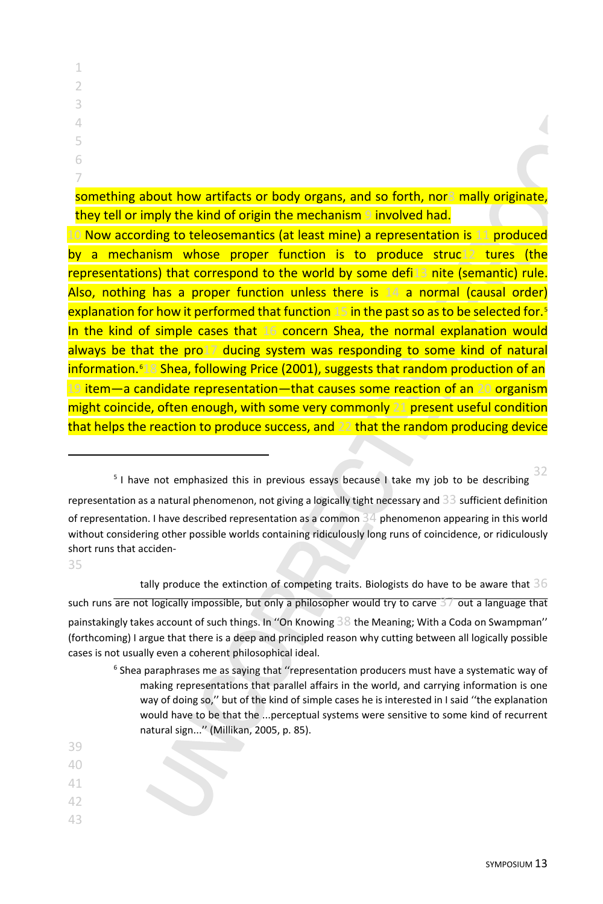something about how artifacts or body organs, and so forth, nor8 mally originate, they tell or imply the kind of origin the mechanism 9 involved had.

10 Now according to teleosemantics (at least mine) a representation is 11 produced by a mechanism whose proper function is to produce struc12 tures (the representations) that correspond to the world by some defi13 nite (semantic) rule. Also, nothing has a proper function unless there is 14 a normal (causal order) explanation for how it performed that function 1[5](#page-12-0) in the past so as to be selected for.<sup>5</sup> In the kind of simple cases that 16 concern Shea, the normal explanation would always be that the pro17 ducing system was responding to some kind of natural information.<sup>[6](#page-12-1)18</sup> Shea, following Price (2001), suggests that random production of an 19 item—a candidate representation—that causes some reaction of an 20 organism might coincide, often enough, with some very commonly 21 present useful condition that helps the reaction to produce success, and 22 that the random producing device

<span id="page-12-0"></span>representation as a natural phenomenon, not giving a logically tight necessary and 33 sufficient definition of representation. I have described representation as a common  $34$  phenomenon appearing in this world without considering other possible worlds containing ridiculously long runs of coincidence, or ridiculously short runs that acciden-

35

tally produce the extinction of competing traits. Biologists do have to be aware that  $36$ such runs are not logically impossible, but only a philosopher would try to carve  $3/$  out a language that painstakingly takes account of such things. In ''On Knowing 38 the Meaning; With a Coda on Swampman'' (forthcoming) I argue that there is a deep and principled reason why cutting between all logically possible cases is not usually even a coherent philosophical ideal.

- $6$  Shea paraphrases me as saying that "representation producers must have a systematic way of making representations that parallel affairs in the world, and carrying information is one way of doing so,'' but of the kind of simple cases he is interested in I said ''the explanation would have to be that the ...perceptual systems were sensitive to some kind of recurrent natural sign...'' (Millikan, 2005, p. 85).
- <span id="page-12-1"></span>39
- 40
- 41
- 42
- 43

<sup>&</sup>lt;sup>5</sup> I have not emphasized this in previous essays because I take my job to be describing 32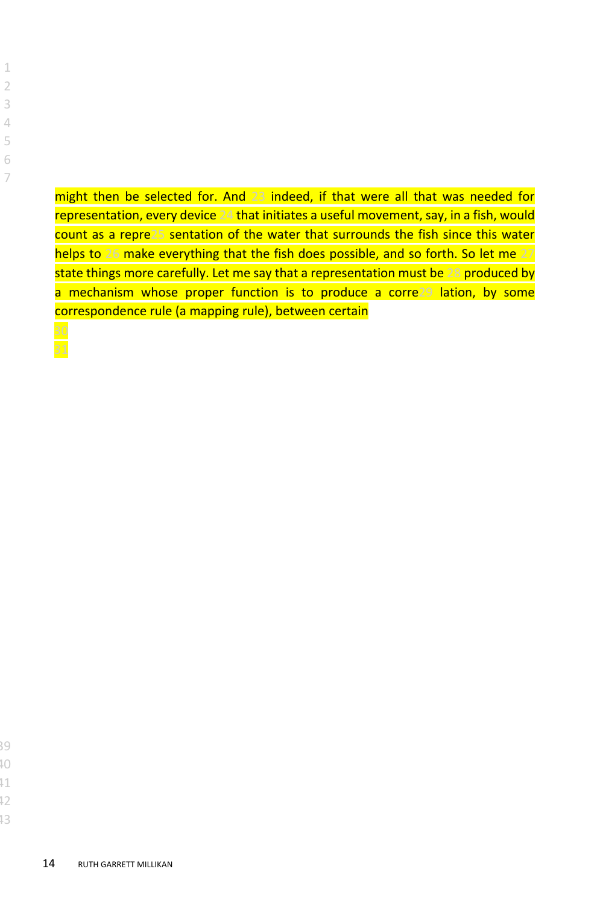might then be selected for. And 23 indeed, if that were all that was needed for representation, every device 24 that initiates a useful movement, say, in a fish, would count as a repre25 sentation of the water that surrounds the fish since this water helps to 26 make everything that the fish does possible, and so forth. So let me 27 state things more carefully. Let me say that a representation must be 28 produced by a mechanism whose proper function is to produce a corre29 lation, by some correspondence rule (a mapping rule), between certain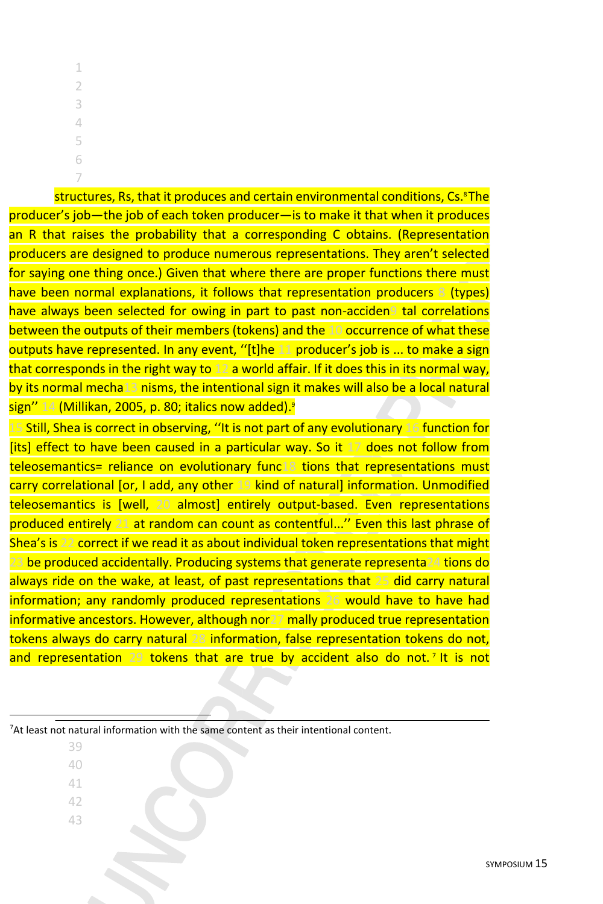structures, Rs, that it produces and certain environmental conditions, Cs.<sup>8</sup> The producer's job—the job of each token producer—is to make it that when it produces an R that raises the probability that a corresponding C obtains. (Representation producers are designed to produce numerous representations. They aren't selected for saying one thing once.) Given that where there are proper functions there must have been normal explanations, it follows that representation producers 8 (types) have always been selected for owing in part to past non-acciden9 tal correlations between the outputs of their members (tokens) and the 10 occurrence of what these outputs have represented. In any event, ''[t]he 11 producer's job is ... to make a sign that corresponds in the right way to 12 a world affair. If it does this in its normal way, by its normal mecha13 nisms, the intentional sign it makes will also be a local natural sign" 14 (Millikan, 2005, p. 80; italics now added).<sup>9</sup>

15 Still, Shea is correct in observing, ''It is not part of any evolutionary 16 function for [its] effect to have been caused in a particular way. So it 17 does not follow from teleosemantics= reliance on evolutionary func18 tions that representations must carry correlational [or, I add, any other 19 kind of natural] information. Unmodified teleosemantics is [well, 20 almost] entirely output-based. Even representations produced entirely 21 at random can count as contentful...'' Even this last phrase of Shea's is 22 correct if we read it as about individual token representations that might 23 be produced accidentally. Producing systems that generate representa24 tions do always ride on the wake, at least, of past representations that 25 did carry natural information; any randomly produced representations 26 would have to have had informative ancestors. However, although nor27 mally produced true representation tokens always do carry natural 28 information, false representation tokens do not, and representation 29 tokens that are true by accident also do not.<sup>[7](#page-14-0)</sup> It is not

<span id="page-14-0"></span> $7$ At least not natural information with the same content as their intentional content.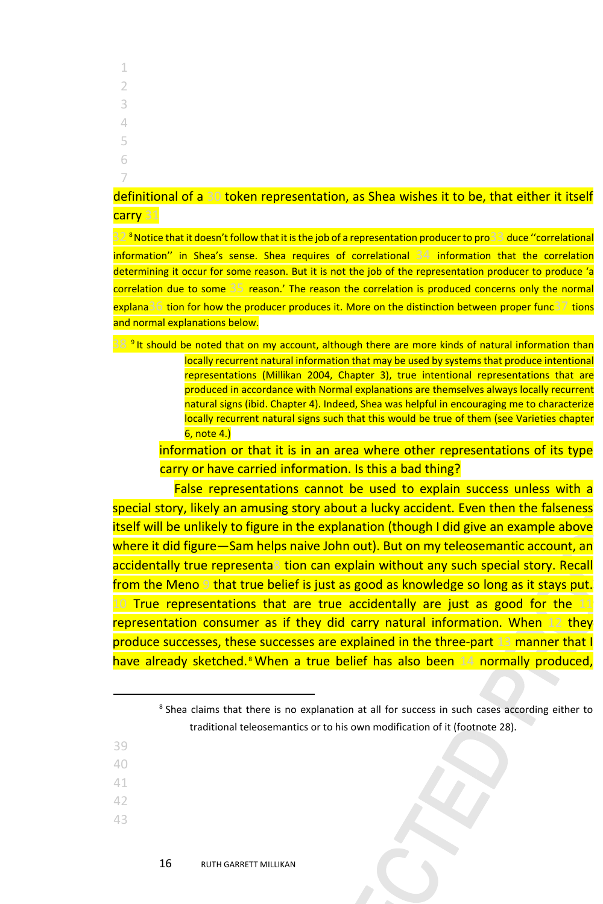- 1 2 3 4 5 6
- 7

### definitional of a 30 token representation, as Shea wishes it to be, that either it itself carry 31

32 <sup>8</sup> Notice that it doesn't follow that it is the job of a representation producer to pro<sup>33</sup> duce "correlational information'' in Shea's sense. Shea requires of correlational 34 information that the correlation determining it occur for some reason. But it is not the job of the representation producer to produce 'a correlation due to some 35 reason.' The reason the correlation is produced concerns only the normal explana36 tion for how the producer produces it. More on the distinction between proper func37 tions and normal explanations below.

38<sup>9</sup> It should be noted that on my account, although there are more kinds of natural information than locally recurrent natural information that may be used by systems that produce intentional representations (Millikan 2004, Chapter 3), true intentional representations that are produced in accordance with Normal explanations are themselves always locally recurrent natural signs (ibid. Chapter 4). Indeed, Shea was helpful in encouraging me to characterize locally recurrent natural signs such that this would be true of them (see Varieties chapter 6, note 4.)

information or that it is in an area where other representations of its type carry or have carried information. Is this a bad thing?

False representations cannot be used to explain success unless with a special story, likely an amusing story about a lucky accident. Even then the falseness itself will be unlikely to figure in the explanation (though I did give an example above where it did figure—Sam helps naive John out). But on my teleosemantic account, an accidentally true representa8 tion can explain without any such special story. Recall from the Meno 9 that true belief is just as good as knowledge so long as it stays put. 10 True representations that are true accidentally are just as good for the 11 representation consumer as if they did carry natural information. When 12 they produce successes, these successes are explained in the three-part 13 manner that I have already sketched.<sup>[8](#page-15-0)</sup> When a true belief has also been 14 normally produced,

- <span id="page-15-0"></span>39
- 40
- 41 42
- 
- 43

<sup>&</sup>lt;sup>8</sup> Shea claims that there is no explanation at all for success in such cases according either to traditional teleosemantics or to his own modification of it (footnote 28).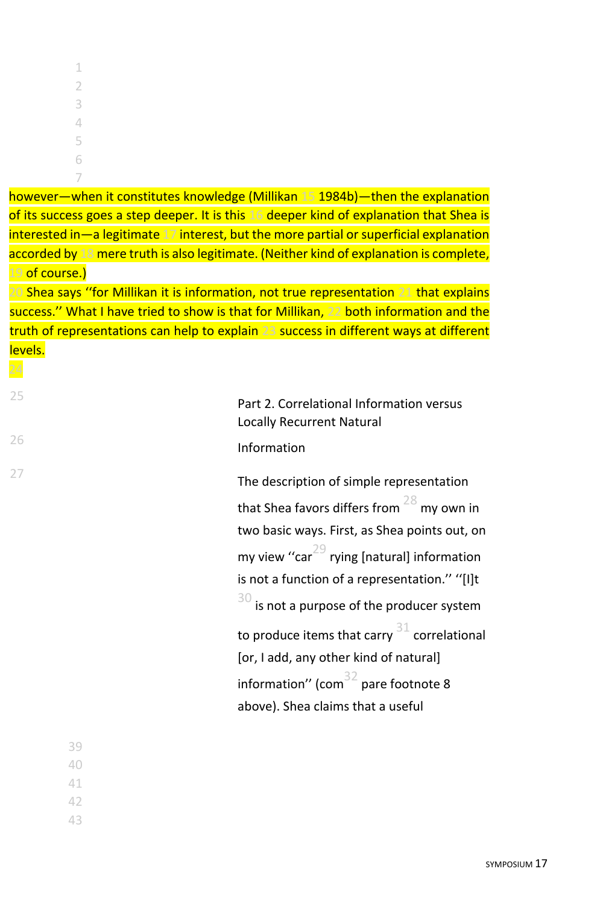| $\mathbf 1$ |  |  |  |
|-------------|--|--|--|
| 2           |  |  |  |
| 3           |  |  |  |
| 4           |  |  |  |
| 5           |  |  |  |
| 6           |  |  |  |
| 7           |  |  |  |

however—when it constitutes knowledge (Millikan 15 1984b)—then the explanation of its success goes a step deeper. It is this 16 deeper kind of explanation that Shea is interested in—a legitimate 17 interest, but the more partial or superficial explanation accorded by 18 mere truth is also legitimate. (Neither kind of explanation is complete, 19 of course.)

20 Shea says ''for Millikan it is information, not true representation 21 that explains success.'' What I have tried to show is that for Millikan, 22 both information and the truth of representations can help to explain 23 success in different ways at different levels.

24

<sup>25</sup> Part 2. Correlational Information versus Locally Recurrent Natural 26 **Information** 

<sup>27</sup> The description of simple representation that Shea favors differs from  $28$  my own in two basic ways. First, as Shea points out, on my view "car<sup>29</sup> rying [natural] information is not a function of a representation.'' ''[I]t  $30$  is not a purpose of the producer system to produce items that carry  $31$  correlational [or, I add, any other kind of natural] information" (com $32$  pare footnote 8 above). Shea claims that a useful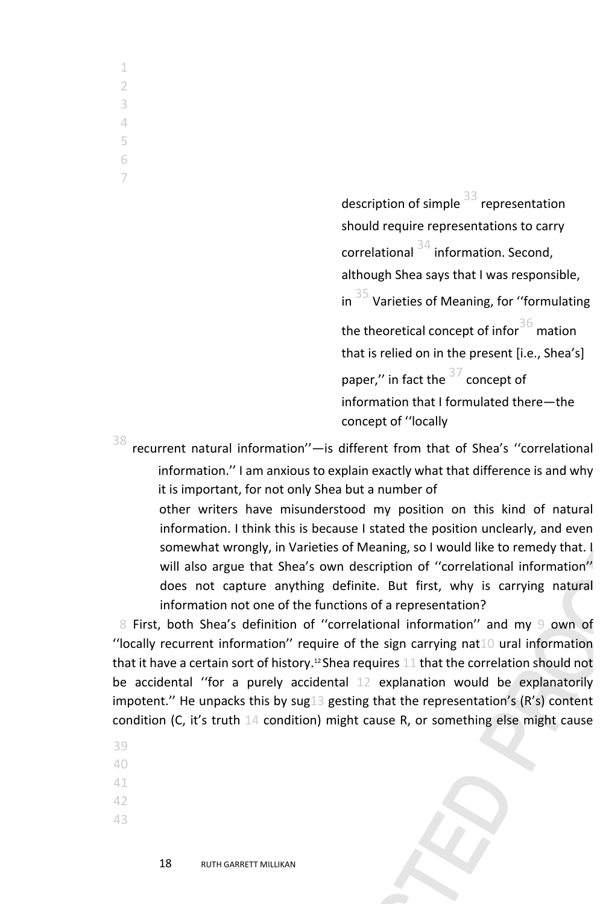> description of simple  $\frac{33}{3}$  representation should require representations to carry correlational  $34$  information. Second, although Shea says that I was responsible, in  $35$  Varieties of Meaning, for "formulating the theoretical concept of infor  $36$  mation that is relied on in the present [i.e., Shea's] paper." in fact the  $37$  concept of information that I formulated there—the concept of ''locally

 $38$  recurrent natural information"—is different from that of Shea's "correlational information.'' I am anxious to explain exactly what that difference is and why it is important, for not only Shea but a number of

other writers have misunderstood my position on this kind of natural information. I think this is because I stated the position unclearly, and even somewhat wrongly, in Varieties of Meaning, so I would like to remedy that. I will also argue that Shea's own description of "correlational information" does not capture anything definite. But first, why is carrying natural information not one of the functions of a representation?

8 First, both Shea's definition of ''correlational information'' and my 9 own of ''locally recurrent information'' require of the sign carrying nat10 ural information that it have a certain sort of history.<sup>12</sup> Shea requires 11 that the correlation should not be accidental ''for a purely accidental 12 explanation would be explanatorily impotent.'' He unpacks this by sug13 gesting that the representation's (R's) content condition (C, it's truth 14 condition) might cause R, or something else might cause

- 39
- 40
- 41
- 42
- 43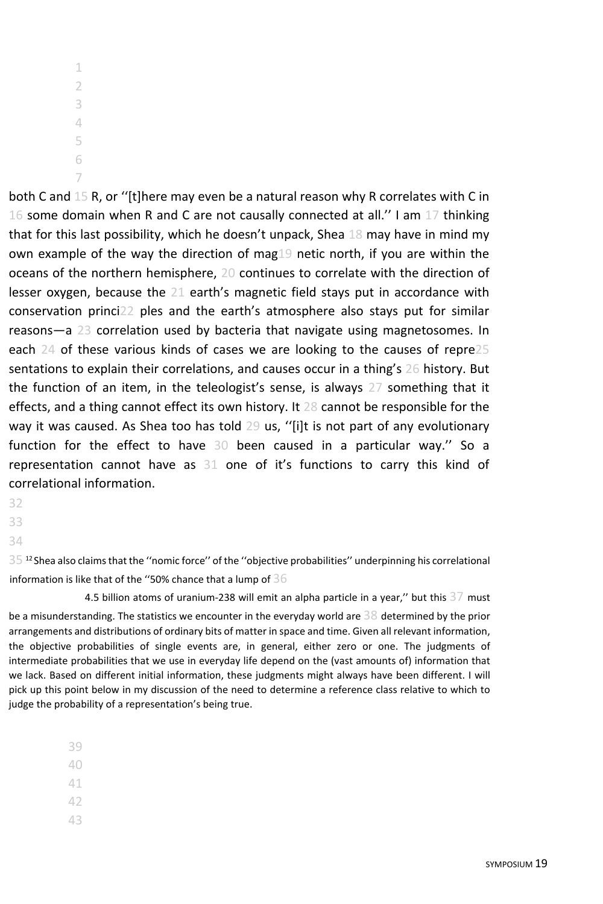7

both C and 15 R, or ''[t]here may even be a natural reason why R correlates with C in 16 some domain when R and C are not causally connected at all.'' I am 17 thinking that for this last possibility, which he doesn't unpack, Shea 18 may have in mind my own example of the way the direction of mag19 netic north, if you are within the oceans of the northern hemisphere, 20 continues to correlate with the direction of lesser oxygen, because the 21 earth's magnetic field stays put in accordance with conservation princi22 ples and the earth's atmosphere also stays put for similar reasons—a 23 correlation used by bacteria that navigate using magnetosomes. In each 24 of these various kinds of cases we are looking to the causes of repre25 sentations to explain their correlations, and causes occur in a thing's 26 history. But the function of an item, in the teleologist's sense, is always 27 something that it effects, and a thing cannot effect its own history. It 28 cannot be responsible for the way it was caused. As Shea too has told 29 us, ''[i]t is not part of any evolutionary function for the effect to have 30 been caused in a particular way.'' So a representation cannot have as 31 one of it's functions to carry this kind of correlational information.

- 32
- 33

34

 $35$  <sup>12</sup> Shea also claims that the "nomic force" of the "objective probabilities" underpinning his correlational information is like that of the "50% chance that a lump of  $36$ 

4.5 billion atoms of uranium-238 will emit an alpha particle in a year," but this 37 must be a misunderstanding. The statistics we encounter in the everyday world are  $38$  determined by the prior arrangements and distributions of ordinary bits of matter in space and time. Given all relevant information, the objective probabilities of single events are, in general, either zero or one. The judgments of intermediate probabilities that we use in everyday life depend on the (vast amounts of) information that we lack. Based on different initial information, these judgments might always have been different. I will pick up this point below in my discussion of the need to determine a reference class relative to which to judge the probability of a representation's being true.

39

40

41

42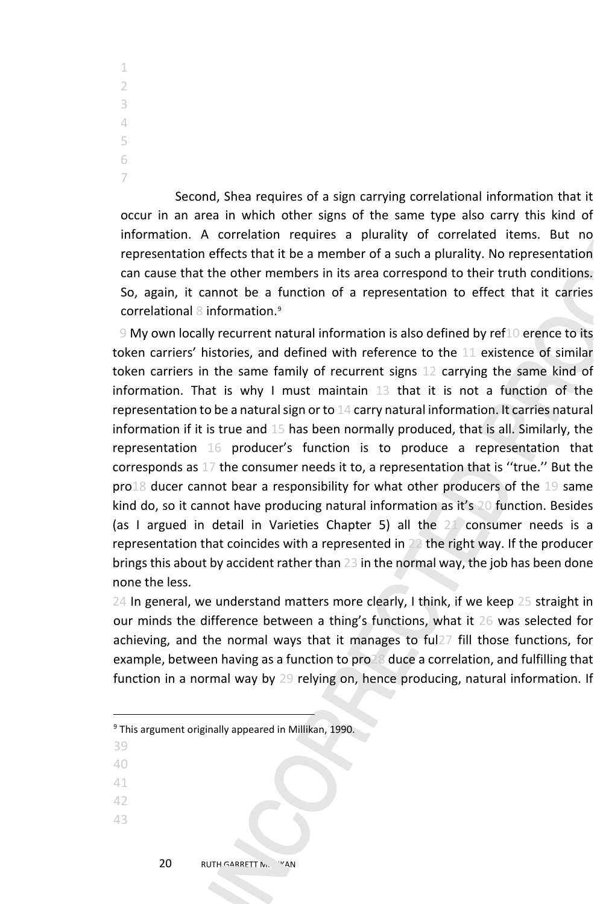Second, Shea requires of a sign carrying correlational information that it occur in an area in which other signs of the same type also carry this kind of information. A correlation requires a plurality of correlated items. But no representation effects that it be a member of a such a plurality. No representation can cause that the other members in its area correspond to their truth conditions. So, again, it cannot be a function of a representation to effect that it carries correlational 8 information.[9](#page-19-0)

9 My own locally recurrent natural information is also defined by ref10 erence to its token carriers' histories, and defined with reference to the 11 existence of similar token carriers in the same family of recurrent signs 12 carrying the same kind of information. That is why I must maintain 13 that it is not a function of the representation to be a natural sign or to 14 carry natural information. It carries natural information if it is true and 15 has been normally produced, that is all. Similarly, the representation 16 producer's function is to produce a representation that corresponds as 17 the consumer needs it to, a representation that is ''true.'' But the pro18 ducer cannot bear a responsibility for what other producers of the 19 same kind do, so it cannot have producing natural information as it's 20 function. Besides (as I argued in detail in Varieties Chapter 5) all the 21 consumer needs is a representation that coincides with a represented in 22 the right way. If the producer brings this about by accident rather than 23 in the normal way, the job has been done none the less.

24 In general, we understand matters more clearly, I think, if we keep 25 straight in our minds the difference between a thing's functions, what it 26 was selected for achieving, and the normal ways that it manages to ful27 fill those functions, for example, between having as a function to pro28 duce a correlation, and fulfilling that function in a normal way by 29 relying on, hence producing, natural information. If

- 39
- 40
- 41
- 42
- 43

<span id="page-19-0"></span><sup>9</sup> This argument originally appeared in Millikan, 1990.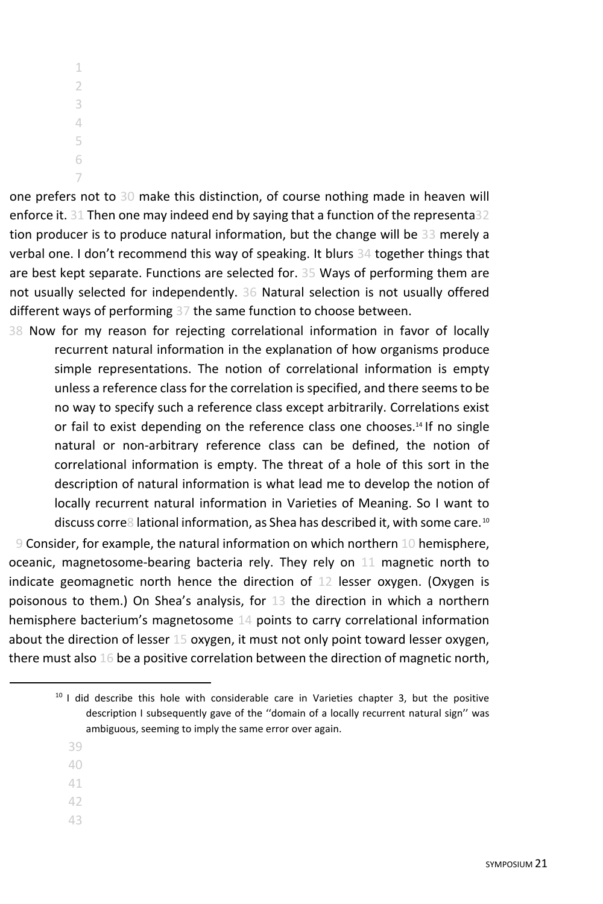one prefers not to 30 make this distinction, of course nothing made in heaven will enforce it. 31 Then one may indeed end by saying that a function of the representa32 tion producer is to produce natural information, but the change will be 33 merely a verbal one. I don't recommend this way of speaking. It blurs 34 together things that are best kept separate. Functions are selected for. 35 Ways of performing them are not usually selected for independently. 36 Natural selection is not usually offered different ways of performing 37 the same function to choose between.

38 Now for my reason for rejecting correlational information in favor of locally recurrent natural information in the explanation of how organisms produce simple representations. The notion of correlational information is empty unless a reference class for the correlation is specified, and there seems to be no way to specify such a reference class except arbitrarily. Correlations exist or fail to exist depending on the reference class one chooses.<sup>14</sup> If no single natural or non-arbitrary reference class can be defined, the notion of correlational information is empty. The threat of a hole of this sort in the description of natural information is what lead me to develop the notion of locally recurrent natural information in Varieties of Meaning. So I want to discuss corre8 lational information, as Shea has described it, with some care.<sup>[10](#page-20-0)</sup>

9 Consider, for example, the natural information on which northern 10 hemisphere, oceanic, magnetosome-bearing bacteria rely. They rely on 11 magnetic north to indicate geomagnetic north hence the direction of 12 lesser oxygen. (Oxygen is poisonous to them.) On Shea's analysis, for 13 the direction in which a northern hemisphere bacterium's magnetosome 14 points to carry correlational information about the direction of lesser 15 oxygen, it must not only point toward lesser oxygen, there must also 16 be a positive correlation between the direction of magnetic north,

- 39
- 40
- 41
- 42
- 43

<span id="page-20-0"></span> $10$  I did describe this hole with considerable care in Varieties chapter 3, but the positive description I subsequently gave of the ''domain of a locally recurrent natural sign'' was ambiguous, seeming to imply the same error over again.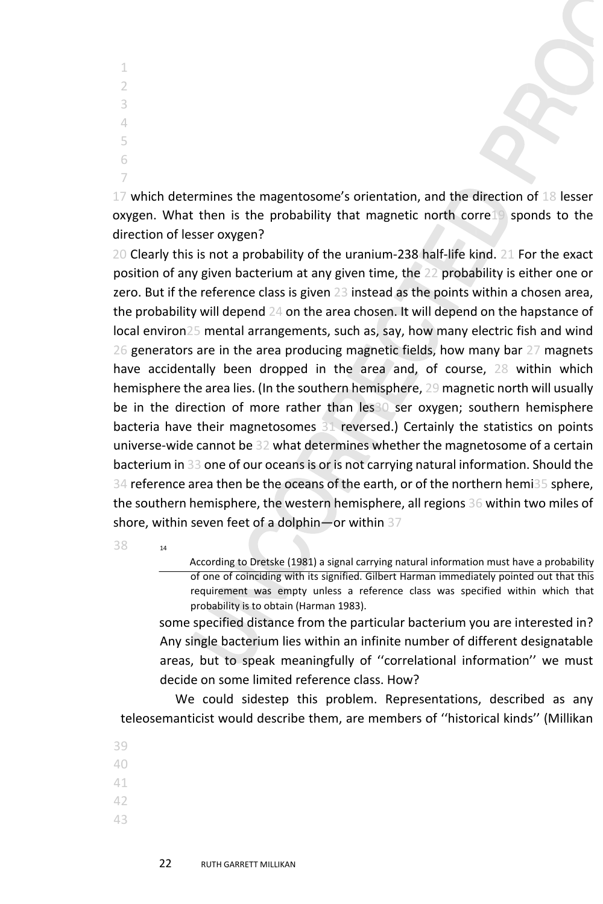17 which determines the magentosome's orientation, and the direction of 18 lesser oxygen. What then is the probability that magnetic north corre19 sponds to the direction of lesser oxygen?

20 Clearly this is not a probability of the uranium-238 half-life kind. 21 For the exact position of any given bacterium at any given time, the 22 probability is either one or zero. But if the reference class is given 23 instead as the points within a chosen area, the probability will depend 24 on the area chosen. It will depend on the hapstance of local environ25 mental arrangements, such as, say, how many electric fish and wind 26 generators are in the area producing magnetic fields, how many bar 27 magnets have accidentally been dropped in the area and, of course, 28 within which hemisphere the area lies. (In the southern hemisphere, 29 magnetic north will usually be in the direction of more rather than les<sup>30</sup> ser oxygen; southern hemisphere bacteria have their magnetosomes 31 reversed.) Certainly the statistics on points universe-wide cannot be 32 what determines whether the magnetosome of a certain bacterium in 33 one of our oceans is or is not carrying natural information. Should the 34 reference area then be the oceans of the earth, or of the northern hemi35 sphere, the southern hemisphere, the western hemisphere, all regions 36 within two miles of shore, within seven feet of a dolphin—or within 37

38 <sup>14</sup>

According to Dretske (1981) a signal carrying natural information must have a probability of one of coinciding with its signified. Gilbert Harman immediately pointed out that this requirement was empty unless a reference class was specified within which that probability is to obtain (Harman 1983).

some specified distance from the particular bacterium you are interested in? Any single bacterium lies within an infinite number of different designatable areas, but to speak meaningfully of ''correlational information'' we must decide on some limited reference class. How?

We could sidestep this problem. Representations, described as any teleosemanticist would describe them, are members of ''historical kinds'' (Millikan

- 39 40 41 42
- 43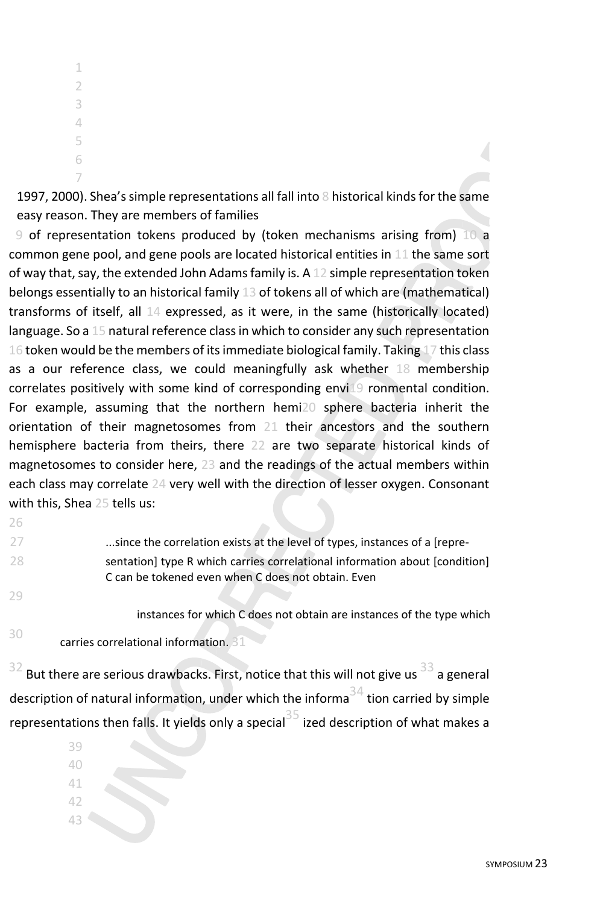7

1997, 2000). Shea's simple representations all fall into 8 historical kinds for the same easy reason. They are members of families

9 of representation tokens produced by (token mechanisms arising from) 10 a common gene pool, and gene pools are located historical entities in 11 the same sort of way that, say, the extended John Adams family is. A 12 simple representation token belongs essentially to an historical family 13 of tokens all of which are (mathematical) transforms of itself, all 14 expressed, as it were, in the same (historically located) language. So a 15 natural reference class in which to consider any such representation 16 token would be the members of its immediate biological family. Taking 17 this class as a our reference class, we could meaningfully ask whether 18 membership correlates positively with some kind of corresponding envi19 ronmental condition. For example, assuming that the northern hemi20 sphere bacteria inherit the orientation of their magnetosomes from 21 their ancestors and the southern hemisphere bacteria from theirs, there 22 are two separate historical kinds of magnetosomes to consider here, 23 and the readings of the actual members within each class may correlate 24 very well with the direction of lesser oxygen. Consonant with this, Shea 25 tells us:

| -27 | since the correlation exists at the level of types, instances of a [repre-  |
|-----|-----------------------------------------------------------------------------|
| -28 | sentation] type R which carries correlational information about [condition] |
|     | C can be tokened even when C does not obtain. Even                          |
| 79  |                                                                             |

instances for which C does not obtain are instances of the type which

<sup>30</sup> carries correlational information. 31

26

But there are serious drawbacks. First, notice that this will not give us  $33$  a general description of natural information, under which the informa<sup>34</sup> tion carried by simple representations then falls. It yields only a special<sup>35</sup> ized description of what makes a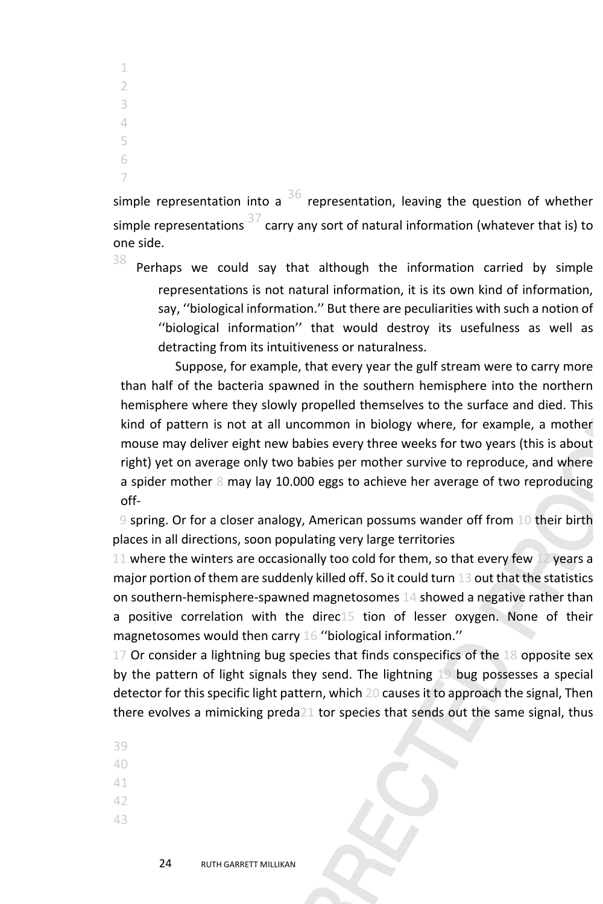simple representation into a  $36$  representation, leaving the question of whether simple representations  $37$  carry any sort of natural information (whatever that is) to one side.

 $38$  Perhaps we could say that although the information carried by simple representations is not natural information, it is its own kind of information, say, ''biological information.'' But there are peculiarities with such a notion of ''biological information'' that would destroy its usefulness as well as detracting from its intuitiveness or naturalness.

Suppose, for example, that every year the gulf stream were to carry more than half of the bacteria spawned in the southern hemisphere into the northern hemisphere where they slowly propelled themselves to the surface and died. This kind of pattern is not at all uncommon in biology where, for example, a mother mouse may deliver eight new babies every three weeks for two years (this is about right) yet on average only two babies per mother survive to reproduce, and where a spider mother 8 may lay 10.000 eggs to achieve her average of two reproducing off-

9 spring. Or for a closer analogy, American possums wander off from 10 their birth places in all directions, soon populating very large territories

11 where the winters are occasionally too cold for them, so that every few 12 years a major portion of them are suddenly killed off. So it could turn 13 out that the statistics on southern-hemisphere-spawned magnetosomes 14 showed a negative rather than a positive correlation with the direc15 tion of lesser oxygen. None of their magnetosomes would then carry 16 ''biological information.''

17 Or consider a lightning bug species that finds conspecifics of the 18 opposite sex by the pattern of light signals they send. The lightning 19 bug possesses a special detector for this specific light pattern, which 20 causes it to approach the signal, Then there evolves a mimicking preda21 tor species that sends out the same signal, thus

- 39 40
- 41
- 42
- 43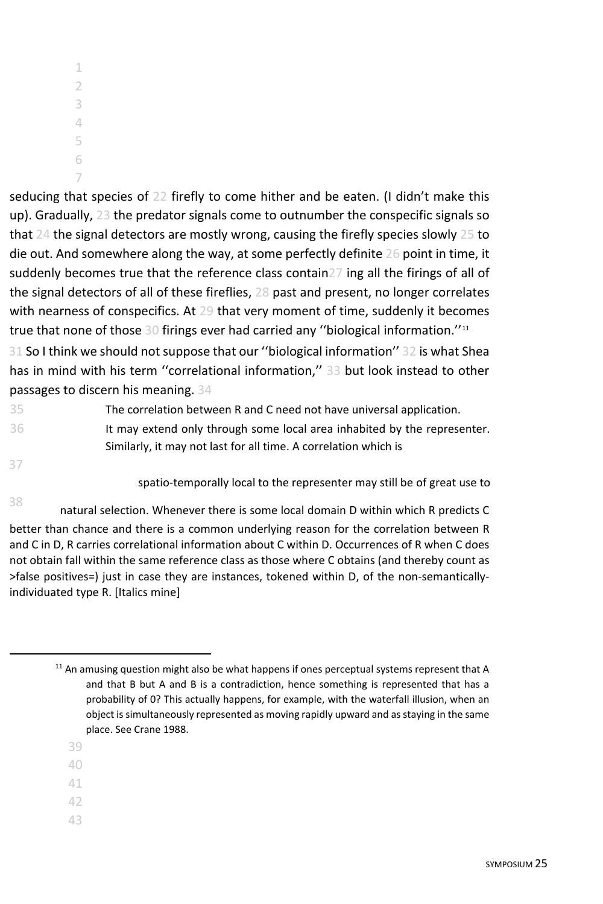7

seducing that species of 22 firefly to come hither and be eaten. (I didn't make this up). Gradually, 23 the predator signals come to outnumber the conspecific signals so that 24 the signal detectors are mostly wrong, causing the firefly species slowly 25 to die out. And somewhere along the way, at some perfectly definite 26 point in time, it suddenly becomes true that the reference class contain27 ing all the firings of all of the signal detectors of all of these fireflies, 28 past and present, no longer correlates with nearness of conspecifics. At 29 that very moment of time, suddenly it becomes true that none of those 30 firings ever had carried any ''biological information.''[11](#page-24-0)

31 So I think we should not suppose that our ''biological information'' 32 is what Shea has in mind with his term ''correlational information,'' 33 but look instead to other passages to discern his meaning. 34

35 The correlation between R and C need not have universal application. 36 It may extend only through some local area inhabited by the representer. Similarly, it may not last for all time. A correlation which is

37

spatio-temporally local to the representer may still be of great use to

<sup>38</sup> natural selection. Whenever there is some local domain D within which R predicts C better than chance and there is a common underlying reason for the correlation between R and C in D, R carries correlational information about C within D. Occurrences of R when C does not obtain fall within the same reference class as those where C obtains (and thereby count as >false positives=) just in case they are instances, tokened within D, of the non-semanticallyindividuated type R. [Italics mine]

- 39
- 40
- 41
- 42
- 43

<span id="page-24-0"></span> $11$  An amusing question might also be what happens if ones perceptual systems represent that A and that B but A and B is a contradiction, hence something is represented that has a probability of 0? This actually happens, for example, with the waterfall illusion, when an object is simultaneously represented as moving rapidly upward and as staying in the same place. See Crane 1988.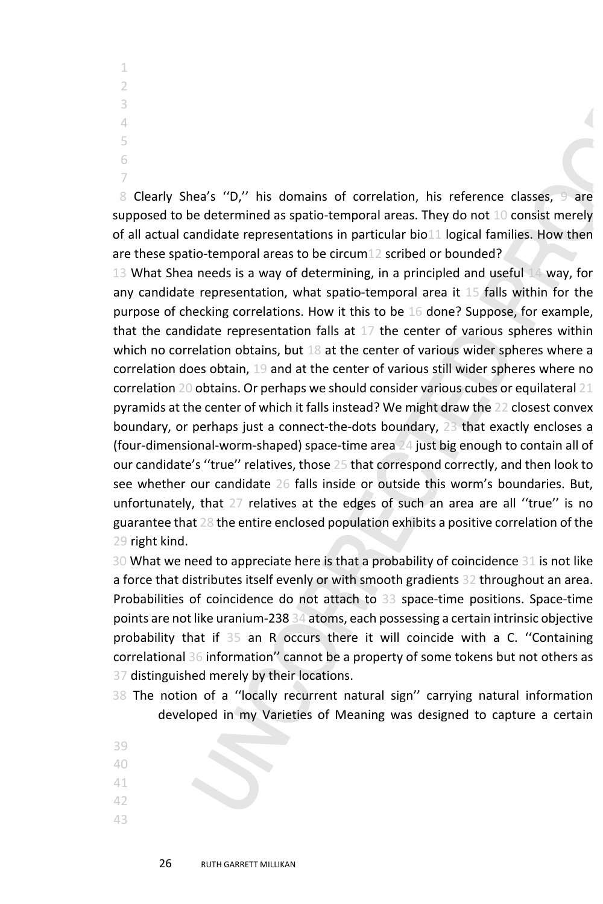8 Clearly Shea's ''D,'' his domains of correlation, his reference classes, 9 are supposed to be determined as spatio-temporal areas. They do not 10 consist merely of all actual candidate representations in particular bio11 logical families. How then are these spatio-temporal areas to be circum12 scribed or bounded?

13 What Shea needs is a way of determining, in a principled and useful 14 way, for any candidate representation, what spatio-temporal area it 15 falls within for the purpose of checking correlations. How it this to be 16 done? Suppose, for example, that the candidate representation falls at  $17$  the center of various spheres within which no correlation obtains, but 18 at the center of various wider spheres where a correlation does obtain, 19 and at the center of various still wider spheres where no correlation 20 obtains. Or perhaps we should consider various cubes or equilateral 21 pyramids at the center of which it falls instead? We might draw the 22 closest convex boundary, or perhaps just a connect-the-dots boundary, 23 that exactly encloses a (four-dimensional-worm-shaped) space-time area 24 just big enough to contain all of our candidate's ''true'' relatives, those 25 that correspond correctly, and then look to see whether our candidate 26 falls inside or outside this worm's boundaries. But, unfortunately, that 27 relatives at the edges of such an area are all ''true'' is no guarantee that 28 the entire enclosed population exhibits a positive correlation of the 29 right kind.

30 What we need to appreciate here is that a probability of coincidence 31 is not like a force that distributes itself evenly or with smooth gradients 32 throughout an area. Probabilities of coincidence do not attach to 33 space-time positions. Space-time points are not like uranium-238 34 atoms, each possessing a certain intrinsic objective probability that if 35 an R occurs there it will coincide with a C. ''Containing correlational 36 information'' cannot be a property of some tokens but not others as 37 distinguished merely by their locations.

- 38 The notion of a ''locally recurrent natural sign'' carrying natural information developed in my Varieties of Meaning was designed to capture a certain
- 39 40 41
- 42
- 43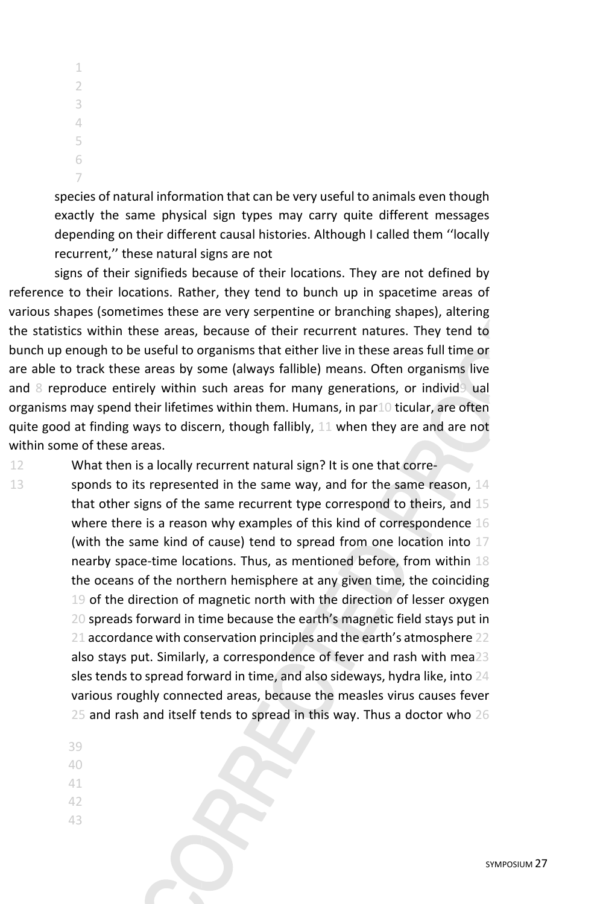species of natural information that can be very useful to animals even though exactly the same physical sign types may carry quite different messages depending on their different causal histories. Although I called them ''locally recurrent,'' these natural signs are not

signs of their signifieds because of their locations. They are not defined by reference to their locations. Rather, they tend to bunch up in spacetime areas of various shapes (sometimes these are very serpentine or branching shapes), altering the statistics within these areas, because of their recurrent natures. They tend to bunch up enough to be useful to organisms that either live in these areas full time or are able to track these areas by some (always fallible) means. Often organisms live and 8 reproduce entirely within such areas for many generations, or individ9 ual organisms may spend their lifetimes within them. Humans, in par10 ticular, are often quite good at finding ways to discern, though fallibly, 11 when they are and are not within some of these areas.

12 What then is a locally recurrent natural sign? It is one that corre-

13 sponds to its represented in the same way, and for the same reason,  $14$ that other signs of the same recurrent type correspond to theirs, and 15 where there is a reason why examples of this kind of correspondence 16 (with the same kind of cause) tend to spread from one location into 17 nearby space-time locations. Thus, as mentioned before, from within 18 the oceans of the northern hemisphere at any given time, the coinciding 19 of the direction of magnetic north with the direction of lesser oxygen 20 spreads forward in time because the earth's magnetic field stays put in 21 accordance with conservation principles and the earth's atmosphere 22 also stays put. Similarly, a correspondence of fever and rash with mea23 sles tends to spread forward in time, and also sideways, hydra like, into 24 various roughly connected areas, because the measles virus causes fever 25 and rash and itself tends to spread in this way. Thus a doctor who 26

- 39 40
- 41
- 
- 42 43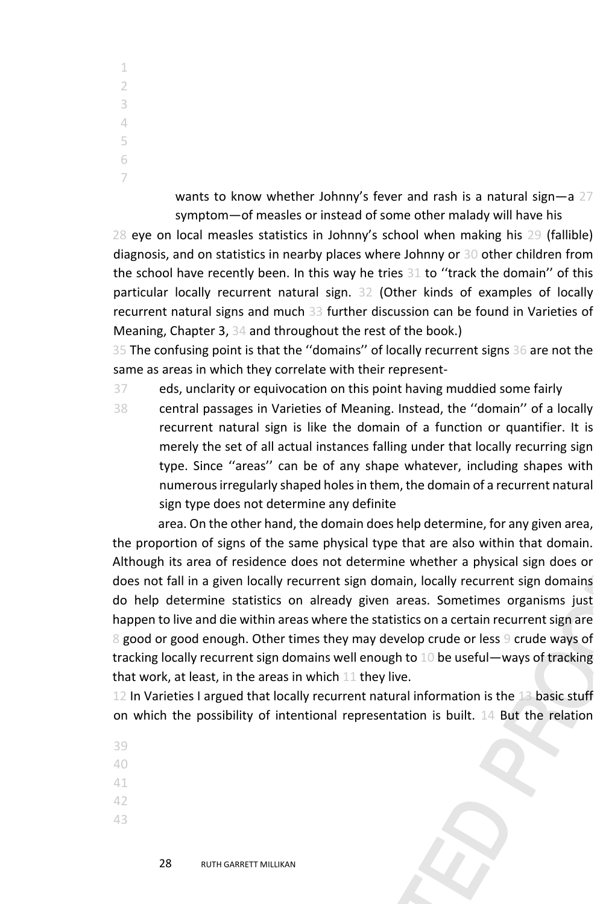> wants to know whether Johnny's fever and rash is a natural sign-a 27 symptom—of measles or instead of some other malady will have his

28 eye on local measles statistics in Johnny's school when making his 29 (fallible) diagnosis, and on statistics in nearby places where Johnny or 30 other children from the school have recently been. In this way he tries 31 to ''track the domain'' of this particular locally recurrent natural sign. 32 (Other kinds of examples of locally recurrent natural signs and much 33 further discussion can be found in Varieties of Meaning, Chapter 3, 34 and throughout the rest of the book.)

35 The confusing point is that the ''domains'' of locally recurrent signs 36 are not the same as areas in which they correlate with their represent-

37 eds, unclarity or equivocation on this point having muddied some fairly

38 central passages in Varieties of Meaning. Instead, the ''domain'' of a locally recurrent natural sign is like the domain of a function or quantifier. It is merely the set of all actual instances falling under that locally recurring sign type. Since ''areas'' can be of any shape whatever, including shapes with numerous irregularly shaped holes in them, the domain of a recurrent natural sign type does not determine any definite

area. On the other hand, the domain does help determine, for any given area, the proportion of signs of the same physical type that are also within that domain. Although its area of residence does not determine whether a physical sign does or does not fall in a given locally recurrent sign domain, locally recurrent sign domains do help determine statistics on already given areas. Sometimes organisms just happen to live and die within areas where the statistics on a certain recurrent sign are 8 good or good enough. Other times they may develop crude or less 9 crude ways of tracking locally recurrent sign domains well enough to 10 be useful—ways of tracking that work, at least, in the areas in which 11 they live.

12 In Varieties I argued that locally recurrent natural information is the 13 basic stuff on which the possibility of intentional representation is built. 14 But the relation

- 39
- 40
- 41
- 42
- 43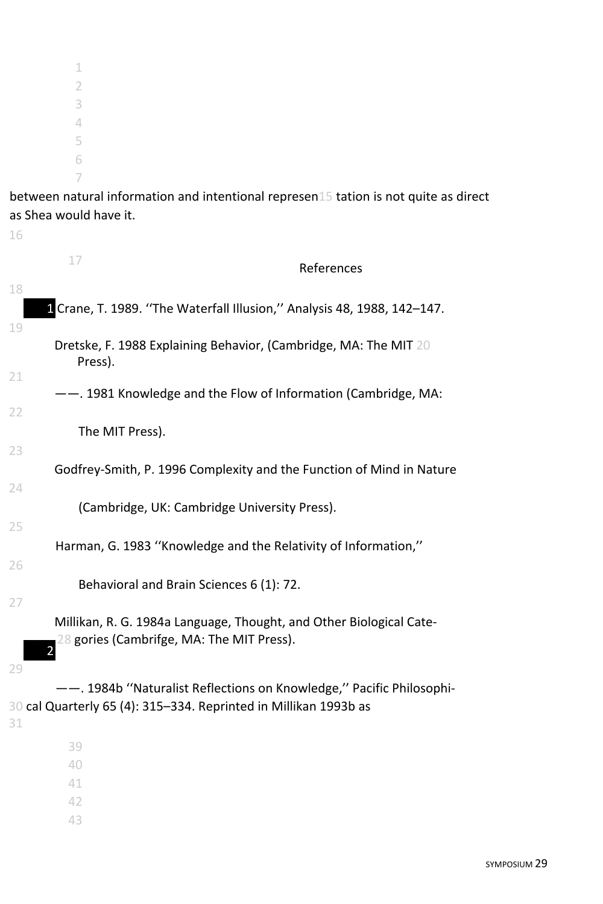between natural information and intentional represen15 tation is not quite as direct as Shea would have it.

| 17<br>References                                                              |  |
|-------------------------------------------------------------------------------|--|
| 18<br>1 Crane, T. 1989. "The Waterfall Illusion," Analysis 48, 1988, 142-147. |  |
| 19                                                                            |  |
| Dretske, F. 1988 Explaining Behavior, (Cambridge, MA: The MIT 20<br>Press).   |  |
| 21                                                                            |  |
| --. 1981 Knowledge and the Flow of Information (Cambridge, MA:                |  |
| 22                                                                            |  |
| The MIT Press).                                                               |  |
| 23                                                                            |  |
| Godfrey-Smith, P. 1996 Complexity and the Function of Mind in Nature          |  |
| 24                                                                            |  |
| (Cambridge, UK: Cambridge University Press).                                  |  |
| 25                                                                            |  |
| Harman, G. 1983 "Knowledge and the Relativity of Information,"                |  |
| 26                                                                            |  |
| Behavioral and Brain Sciences 6 (1): 72.                                      |  |
| 27                                                                            |  |
| Millikan, R. G. 1984a Language, Thought, and Other Biological Cate-           |  |
| 28 gories (Cambrifge, MA: The MIT Press).                                     |  |
| $\overline{a}$                                                                |  |
| 29                                                                            |  |
| --. 1984b "Naturalist Reflections on Knowledge," Pacific Philosophi-          |  |
| 30 cal Quarterly 65 (4): 315-334. Reprinted in Millikan 1993b as              |  |
| 31                                                                            |  |
| 39                                                                            |  |
| 40                                                                            |  |
| 41                                                                            |  |
| 42                                                                            |  |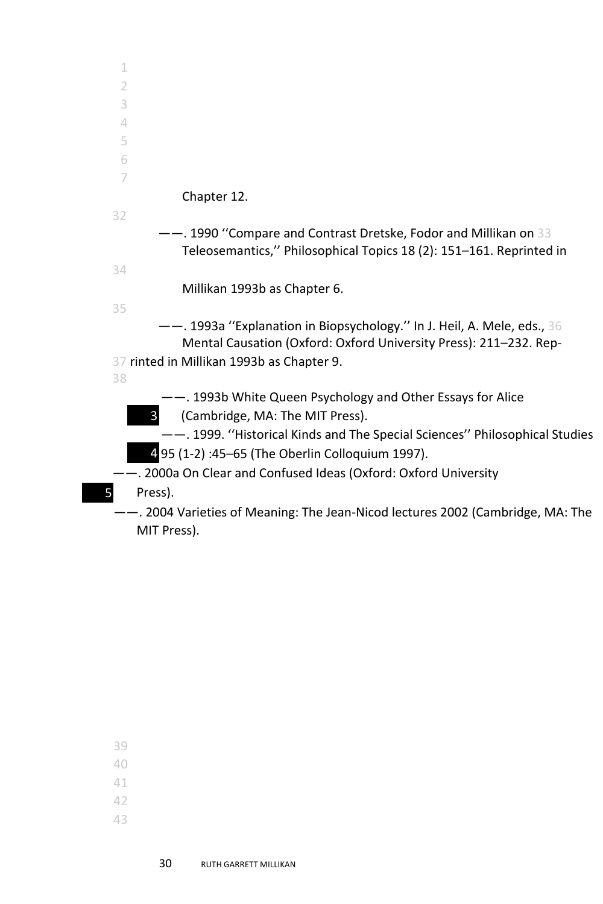| --. 1999. "Historical Kinds and The Special Sciences" Philosophical Studies    |
|--------------------------------------------------------------------------------|
|                                                                                |
|                                                                                |
|                                                                                |
| -. 2004 Varieties of Meaning: The Jean-Nicod lectures 2002 (Cambridge, MA: The |
|                                                                                |
|                                                                                |

- 41
- 42
- 43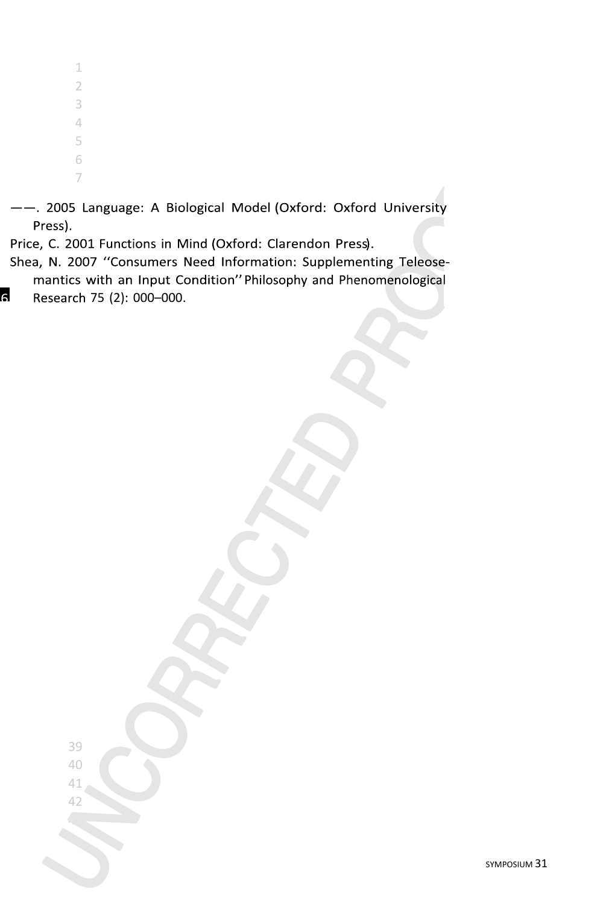- --. 2005 Language: A Biological Model (Oxford: Oxford University Press).
- Price, C. 2001 Functions in Mind (Oxford: Clarendon Press).
- Shea, N. 2007 "Consumers Need Information: Supplementing Teleosemantics with an Input Condition" Philosophy and Phenomenological  $\overline{6}$ Research 75 (2): 000-000.